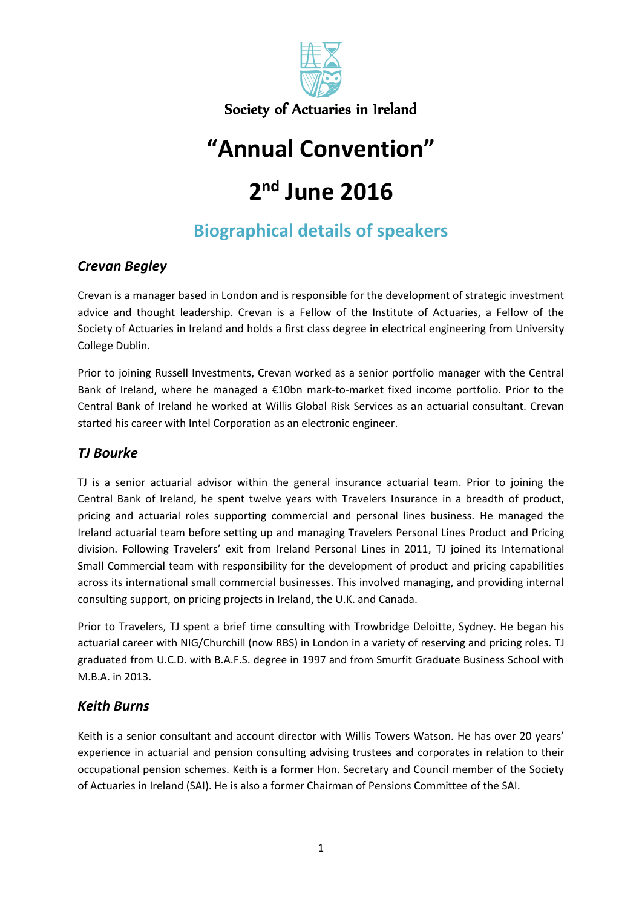

## **"Annual Convention"**

# **2 nd June 2016**

## **Biographical details of speakers**

#### *Crevan Begley*

Crevan is a manager based in London and is responsible for the development of strategic investment advice and thought leadership. Crevan is a Fellow of the Institute of Actuaries, a Fellow of the Society of Actuaries in Ireland and holds a first class degree in electrical engineering from University College Dublin.

Prior to joining Russell Investments, Crevan worked as a senior portfolio manager with the Central Bank of Ireland, where he managed a €10bn mark-to-market fixed income portfolio. Prior to the Central Bank of Ireland he worked at Willis Global Risk Services as an actuarial consultant. Crevan started his career with Intel Corporation as an electronic engineer.

#### *TJ Bourke*

TJ is a senior actuarial advisor within the general insurance actuarial team. Prior to joining the Central Bank of Ireland, he spent twelve years with Travelers Insurance in a breadth of product, pricing and actuarial roles supporting commercial and personal lines business. He managed the Ireland actuarial team before setting up and managing Travelers Personal Lines Product and Pricing division. Following Travelers' exit from Ireland Personal Lines in 2011, TJ joined its International Small Commercial team with responsibility for the development of product and pricing capabilities across its international small commercial businesses. This involved managing, and providing internal consulting support, on pricing projects in Ireland, the U.K. and Canada.

Prior to Travelers, TJ spent a brief time consulting with Trowbridge Deloitte, Sydney. He began his actuarial career with NIG/Churchill (now RBS) in London in a variety of reserving and pricing roles. TJ graduated from U.C.D. with B.A.F.S. degree in 1997 and from Smurfit Graduate Business School with M.B.A. in 2013.

#### *Keith Burns*

Keith is a senior consultant and account director with Willis Towers Watson. He has over 20 years' experience in actuarial and pension consulting advising trustees and corporates in relation to their occupational pension schemes. Keith is a former Hon. Secretary and Council member of the Society of Actuaries in Ireland (SAI). He is also a former Chairman of Pensions Committee of the SAI.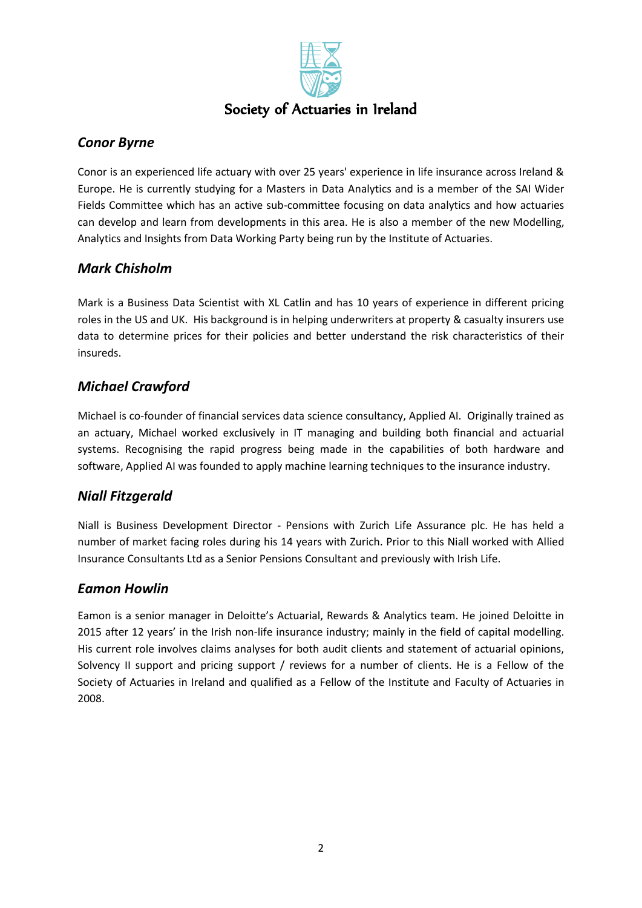

#### *Conor Byrne*

Conor is an experienced life actuary with over 25 years' experience in life insurance across Ireland & Europe. He is currently studying for a Masters in Data Analytics and is a member of the SAI Wider Fields Committee which has an active sub-committee focusing on data analytics and how actuaries can develop and learn from developments in this area. He is also a member of the new Modelling, Analytics and Insights from Data Working Party being run by the Institute of Actuaries.

#### *Mark Chisholm*

Mark is a Business Data Scientist with XL Catlin and has 10 years of experience in different pricing roles in the US and UK. His background is in helping underwriters at property & casualty insurers use data to determine prices for their policies and better understand the risk characteristics of their insureds.

#### *Michael Crawford*

Michael is co-founder of financial services data science consultancy, Applied AI. Originally trained as an actuary, Michael worked exclusively in IT managing and building both financial and actuarial systems. Recognising the rapid progress being made in the capabilities of both hardware and software, Applied AI was founded to apply machine learning techniques to the insurance industry.

#### *Niall Fitzgerald*

Niall is Business Development Director - Pensions with Zurich Life Assurance plc. He has held a number of market facing roles during his 14 years with Zurich. Prior to this Niall worked with Allied Insurance Consultants Ltd as a Senior Pensions Consultant and previously with Irish Life.

#### *Eamon Howlin*

Eamon is a senior manager in Deloitte's Actuarial, Rewards & Analytics team. He joined Deloitte in 2015 after 12 years' in the Irish non-life insurance industry; mainly in the field of capital modelling. His current role involves claims analyses for both audit clients and statement of actuarial opinions, Solvency II support and pricing support / reviews for a number of clients. He is a Fellow of the Society of Actuaries in Ireland and qualified as a Fellow of the Institute and Faculty of Actuaries in 2008.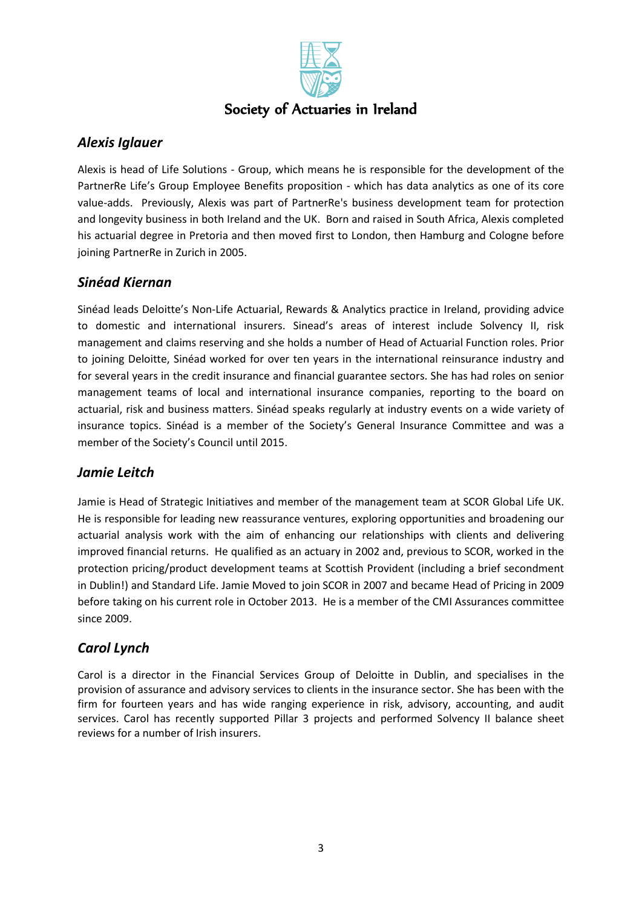

#### *Alexis Iglauer*

Alexis is head of Life Solutions - Group, which means he is responsible for the development of the PartnerRe Life's Group Employee Benefits proposition - which has data analytics as one of its core value-adds. Previously, Alexis was part of PartnerRe's business development team for protection and longevity business in both Ireland and the UK. Born and raised in South Africa, Alexis completed his actuarial degree in Pretoria and then moved first to London, then Hamburg and Cologne before joining PartnerRe in Zurich in 2005.

#### *Sinéad Kiernan*

Sinéad leads Deloitte's Non-Life Actuarial, Rewards & Analytics practice in Ireland, providing advice to domestic and international insurers. Sinead's areas of interest include Solvency II, risk management and claims reserving and she holds a number of Head of Actuarial Function roles. Prior to joining Deloitte, Sinéad worked for over ten years in the international reinsurance industry and for several years in the credit insurance and financial guarantee sectors. She has had roles on senior management teams of local and international insurance companies, reporting to the board on actuarial, risk and business matters. Sinéad speaks regularly at industry events on a wide variety of insurance topics. Sinéad is a member of the Society's General Insurance Committee and was a member of the Society's Council until 2015.

#### *Jamie Leitch*

Jamie is Head of Strategic Initiatives and member of the management team at SCOR Global Life UK. He is responsible for leading new reassurance ventures, exploring opportunities and broadening our actuarial analysis work with the aim of enhancing our relationships with clients and delivering improved financial returns. He qualified as an actuary in 2002 and, previous to SCOR, worked in the protection pricing/product development teams at Scottish Provident (including a brief secondment in Dublin!) and Standard Life. Jamie Moved to join SCOR in 2007 and became Head of Pricing in 2009 before taking on his current role in October 2013. He is a member of the CMI Assurances committee since 2009.

#### *Carol Lynch*

Carol is a director in the Financial Services Group of Deloitte in Dublin, and specialises in the provision of assurance and advisory services to clients in the insurance sector. She has been with the firm for fourteen years and has wide ranging experience in risk, advisory, accounting, and audit services. Carol has recently supported Pillar 3 projects and performed Solvency II balance sheet reviews for a number of Irish insurers.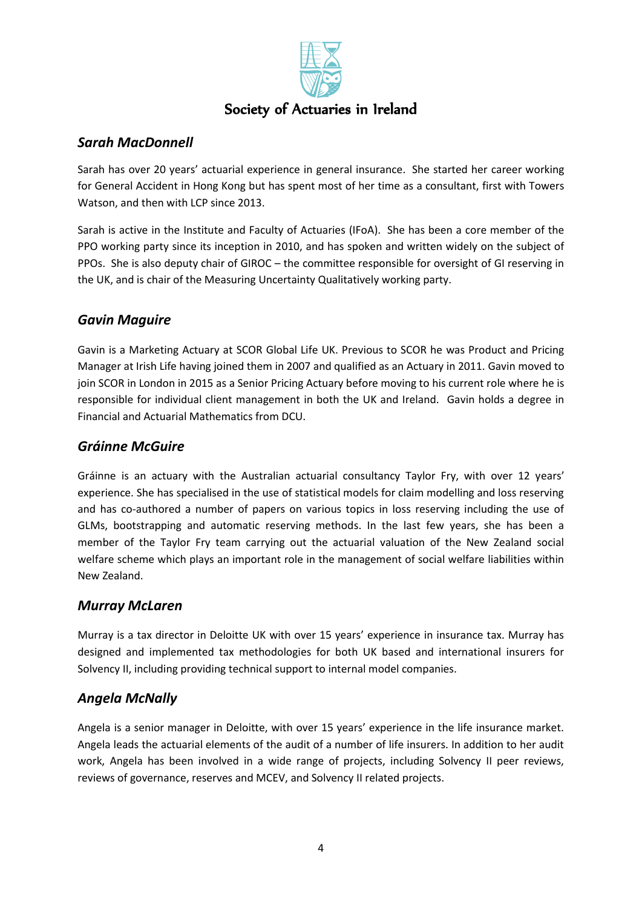

#### *Sarah MacDonnell*

Sarah has over 20 years' actuarial experience in general insurance. She started her career working for General Accident in Hong Kong but has spent most of her time as a consultant, first with Towers Watson, and then with LCP since 2013.

Sarah is active in the Institute and Faculty of Actuaries (IFoA). She has been a core member of the PPO working party since its inception in 2010, and has spoken and written widely on the subject of PPOs. She is also deputy chair of GIROC – the committee responsible for oversight of GI reserving in the UK, and is chair of the Measuring Uncertainty Qualitatively working party.

#### *Gavin Maguire*

Gavin is a Marketing Actuary at SCOR Global Life UK. Previous to SCOR he was Product and Pricing Manager at Irish Life having joined them in 2007 and qualified as an Actuary in 2011. Gavin moved to join SCOR in London in 2015 as a Senior Pricing Actuary before moving to his current role where he is responsible for individual client management in both the UK and Ireland. Gavin holds a degree in Financial and Actuarial Mathematics from DCU.

#### *Gráinne McGuire*

Gráinne is an actuary with the Australian actuarial consultancy Taylor Fry, with over 12 years' experience. She has specialised in the use of statistical models for claim modelling and loss reserving and has co-authored a number of papers on various topics in loss reserving including the use of GLMs, bootstrapping and automatic reserving methods. In the last few years, she has been a member of the Taylor Fry team carrying out the actuarial valuation of the New Zealand social welfare scheme which plays an important role in the management of social welfare liabilities within New Zealand.

#### *Murray McLaren*

Murray is a tax director in Deloitte UK with over 15 years' experience in insurance tax. Murray has designed and implemented tax methodologies for both UK based and international insurers for Solvency II, including providing technical support to internal model companies.

#### *Angela McNally*

Angela is a senior manager in Deloitte, with over 15 years' experience in the life insurance market. Angela leads the actuarial elements of the audit of a number of life insurers. In addition to her audit work, Angela has been involved in a wide range of projects, including Solvency II peer reviews, reviews of governance, reserves and MCEV, and Solvency II related projects.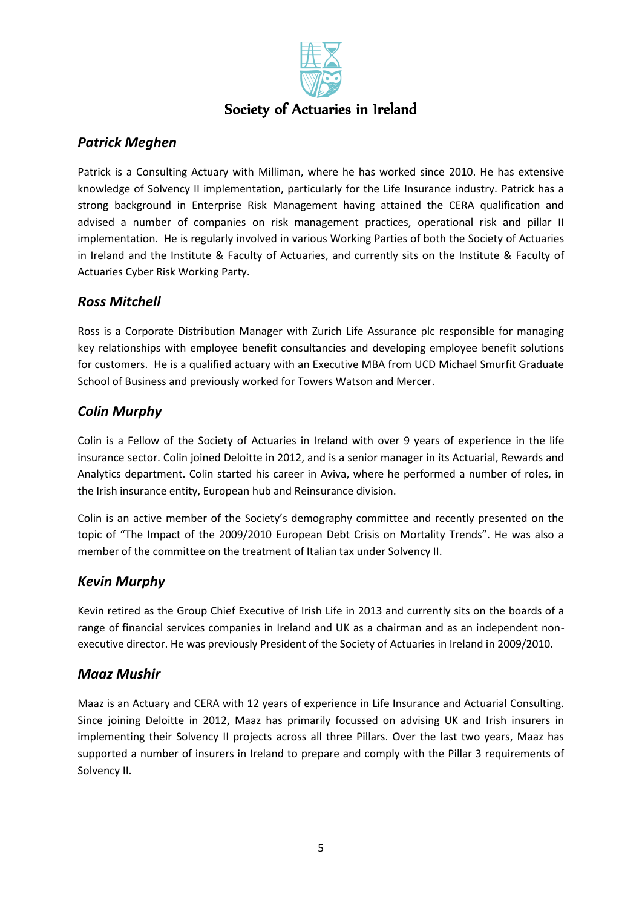

#### *Patrick Meghen*

Patrick is a Consulting Actuary with Milliman, where he has worked since 2010. He has extensive knowledge of Solvency II implementation, particularly for the Life Insurance industry. Patrick has a strong background in Enterprise Risk Management having attained the CERA qualification and advised a number of companies on risk management practices, operational risk and pillar II implementation. He is regularly involved in various Working Parties of both the Society of Actuaries in Ireland and the Institute & Faculty of Actuaries, and currently sits on the Institute & Faculty of Actuaries Cyber Risk Working Party.

#### *Ross Mitchell*

Ross is a Corporate Distribution Manager with Zurich Life Assurance plc responsible for managing key relationships with employee benefit consultancies and developing employee benefit solutions for customers. He is a qualified actuary with an Executive MBA from UCD Michael Smurfit Graduate School of Business and previously worked for Towers Watson and Mercer.

#### *Colin Murphy*

Colin is a Fellow of the Society of Actuaries in Ireland with over 9 years of experience in the life insurance sector. Colin joined Deloitte in 2012, and is a senior manager in its Actuarial, Rewards and Analytics department. Colin started his career in Aviva, where he performed a number of roles, in the Irish insurance entity, European hub and Reinsurance division.

Colin is an active member of the Society's demography committee and recently presented on the topic of "The Impact of the 2009/2010 European Debt Crisis on Mortality Trends". He was also a member of the committee on the treatment of Italian tax under Solvency II.

#### *Kevin Murphy*

Kevin retired as the Group Chief Executive of Irish Life in 2013 and currently sits on the boards of a range of financial services companies in Ireland and UK as a chairman and as an independent nonexecutive director. He was previously President of the Society of Actuaries in Ireland in 2009/2010.

#### *Maaz Mushir*

Maaz is an Actuary and CERA with 12 years of experience in Life Insurance and Actuarial Consulting. Since joining Deloitte in 2012, Maaz has primarily focussed on advising UK and Irish insurers in implementing their Solvency II projects across all three Pillars. Over the last two years, Maaz has supported a number of insurers in Ireland to prepare and comply with the Pillar 3 requirements of Solvency II.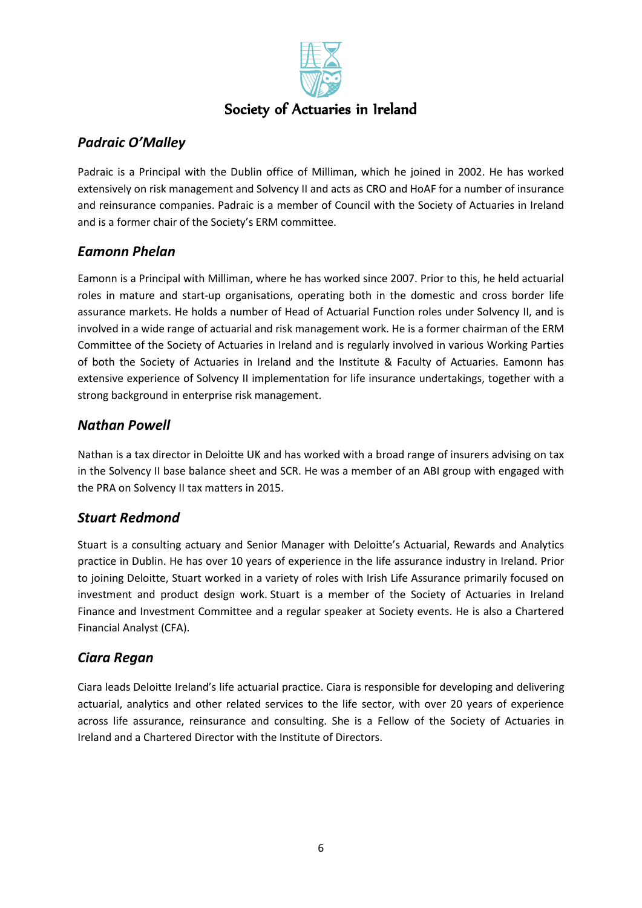

### *Padraic O'Malley*

Padraic is a Principal with the Dublin office of Milliman, which he joined in 2002. He has worked extensively on risk management and Solvency II and acts as CRO and HoAF for a number of insurance and reinsurance companies. Padraic is a member of Council with the Society of Actuaries in Ireland and is a former chair of the Society's ERM committee.

#### *Eamonn Phelan*

Eamonn is a Principal with Milliman, where he has worked since 2007. Prior to this, he held actuarial roles in mature and start-up organisations, operating both in the domestic and cross border life assurance markets. He holds a number of Head of Actuarial Function roles under Solvency II, and is involved in a wide range of actuarial and risk management work. He is a former chairman of the ERM Committee of the Society of Actuaries in Ireland and is regularly involved in various Working Parties of both the Society of Actuaries in Ireland and the Institute & Faculty of Actuaries. Eamonn has extensive experience of Solvency II implementation for life insurance undertakings, together with a strong background in enterprise risk management.

#### *Nathan Powell*

Nathan is a tax director in Deloitte UK and has worked with a broad range of insurers advising on tax in the Solvency II base balance sheet and SCR. He was a member of an ABI group with engaged with the PRA on Solvency II tax matters in 2015.

#### *Stuart Redmond*

Stuart is a consulting actuary and Senior Manager with Deloitte's Actuarial, Rewards and Analytics practice in Dublin. He has over 10 years of experience in the life assurance industry in Ireland. Prior to joining Deloitte, Stuart worked in a variety of roles with Irish Life Assurance primarily focused on investment and product design work. Stuart is a member of the Society of Actuaries in Ireland Finance and Investment Committee and a regular speaker at Society events. He is also a Chartered Financial Analyst (CFA).

#### *Ciara Regan*

Ciara leads Deloitte Ireland's life actuarial practice. Ciara is responsible for developing and delivering actuarial, analytics and other related services to the life sector, with over 20 years of experience across life assurance, reinsurance and consulting. She is a Fellow of the Society of Actuaries in Ireland and a Chartered Director with the Institute of Directors.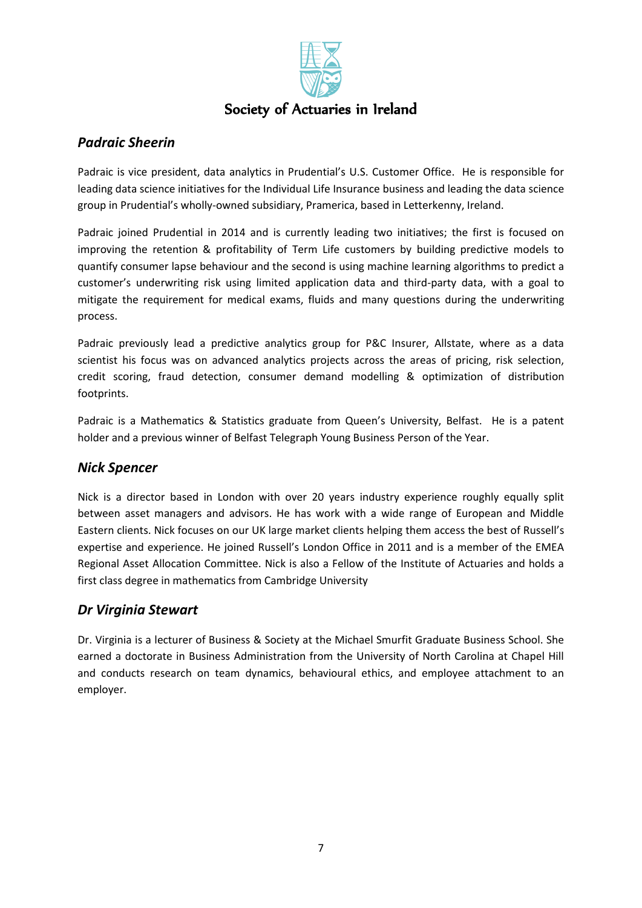

#### *Padraic Sheerin*

Padraic is vice president, data analytics in Prudential's U.S. Customer Office. He is responsible for leading data science initiatives for the Individual Life Insurance business and leading the data science group in Prudential's wholly-owned subsidiary, Pramerica, based in Letterkenny, Ireland.

Padraic joined Prudential in 2014 and is currently leading two initiatives; the first is focused on improving the retention & profitability of Term Life customers by building predictive models to quantify consumer lapse behaviour and the second is using machine learning algorithms to predict a customer's underwriting risk using limited application data and third-party data, with a goal to mitigate the requirement for medical exams, fluids and many questions during the underwriting process.

Padraic previously lead a predictive analytics group for P&C Insurer, Allstate, where as a data scientist his focus was on advanced analytics projects across the areas of pricing, risk selection, credit scoring, fraud detection, consumer demand modelling & optimization of distribution footprints.

Padraic is a Mathematics & Statistics graduate from Queen's University, Belfast. He is a patent holder and a previous winner of Belfast Telegraph Young Business Person of the Year.

#### *Nick Spencer*

Nick is a director based in London with over 20 years industry experience roughly equally split between asset managers and advisors. He has work with a wide range of European and Middle Eastern clients. Nick focuses on our UK large market clients helping them access the best of Russell's expertise and experience. He joined Russell's London Office in 2011 and is a member of the EMEA Regional Asset Allocation Committee. Nick is also a Fellow of the Institute of Actuaries and holds a first class degree in mathematics from Cambridge University

#### *Dr Virginia Stewart*

Dr. Virginia is a lecturer of Business & Society at the Michael Smurfit Graduate Business School. She earned a doctorate in Business Administration from the University of North Carolina at Chapel Hill and conducts research on team dynamics, behavioural ethics, and employee attachment to an employer.